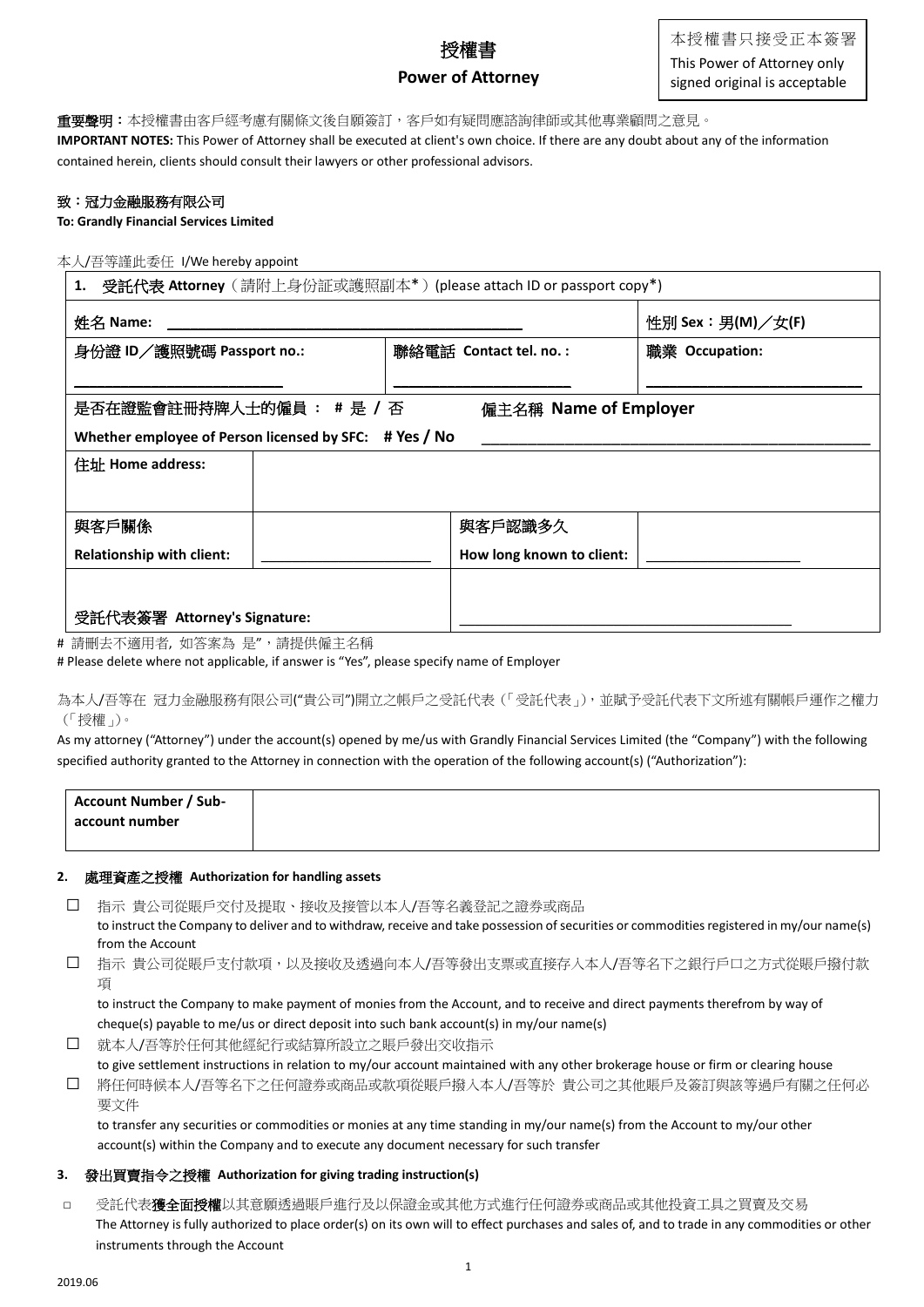# 授權書 **Power of Attorney**

# **重要聲明:**本授權書由客戶經考慮有關條文後自願簽訂,客戶如有疑問應諮詢律師或其他專業顧問之意見。

**IMPORTANT NOTES:** This Power of Attorney shall be executed at client's own choice. If there are any doubt about any of the information contained herein, clients should consult their lawyers or other professional advisors.

## 致:冠力金融服務有限公司

**To: Grandly Financial Services Limited**

### 本人/吾等謹此委任 I/We hereby appoint

| 受託代表 Attorney(請附上身份証或護照副本*)(please attach ID or passport copy*)<br>1. |                           |                  |  |  |  |
|-----------------------------------------------------------------------|---------------------------|------------------|--|--|--|
| 姓名 Name:                                                              |                           | 性別 Sex:男(M)/女(F) |  |  |  |
| 身份證 ID/護照號碼 Passport no.:                                             | 聯絡電話 Contact tel. no.:    | 職業 Occupation:   |  |  |  |
|                                                                       |                           |                  |  |  |  |
| 是否在證監會註冊持牌人士的僱員: #是 / 否<br>僱主名稱 Name of Employer                      |                           |                  |  |  |  |
| Whether employee of Person licensed by SFC: # Yes / No                |                           |                  |  |  |  |
| 住址 Home address:                                                      |                           |                  |  |  |  |
|                                                                       |                           |                  |  |  |  |
| 與客戶關係                                                                 | 與客戶認識多久                   |                  |  |  |  |
| <b>Relationship with client:</b>                                      | How long known to client: |                  |  |  |  |
|                                                                       |                           |                  |  |  |  |
| 受託代表簽署 Attorney's Signature:                                          |                           |                  |  |  |  |

# 請刪去不適用者, 如答案為 是",請提供僱主名稱

# Please delete where not applicable, if answer is "Yes", please specify name of Employer

為本人/吾等在 冠力金融服務有限公司("貴公司")開立之帳戶之受託代表(「受託代表」),並賦予受託代表下文所述有關帳戶運作之權力 (「授權」)。

As my attorney ("Attorney") under the account(s) opened by me/us with Grandly Financial Services Limited (the "Company") with the following specified authority granted to the Attorney in connection with the operation of the following account(s) ("Authorization"):

| <b>Account Number / Sub-</b> |  |  |
|------------------------------|--|--|
| account number               |  |  |
|                              |  |  |

#### **2.** 處理資產之授權 **Authorization for handling assets**

- □ 指示 貴公司從賬戶交付及提取、接收及接管以本人/吾等名義登記之證券或商品 to instruct the Company to deliver and to withdraw, receive and take possession of securities or commodities registered in my/our name(s) from the Account
- □ 指示 貴公司從賬戶支付款項,以及接收及透過向本人/吾等發出支票或直接存入本人/吾等名下之銀行戶口之方式從賬戶撥付款 項

to instruct the Company to make payment of monies from the Account, and to receive and direct payments therefrom by way of cheque(s) payable to me/us or direct deposit into such bank account(s) in my/our name(s)

□ 就本人/吾等於任何其他經紀行或結算所設立之賬戶發出交收指示

to give settlement instructions in relation to my/our account maintained with any other brokerage house or firm or clearing house □ 將任何時候本人/吾等名下之任何證券或商品或款項從賬戶撥入本人/吾等於 貴公司之其他賬戶及簽訂與該等過戶有關之任何必 要文件

to transfer any securities or commodities or monies at any time standing in my/our name(s) from the Account to my/our other account(s) within the Company and to execute any document necessary for such transfer

### **3.** 發出買賣指令之授權 **Authorization for giving trading instruction(s)**

□ 受託代表**獲全面授權**以其意願透過賬戶進行及以保證金或其他方式進行任何證券或商品或其他投資工具之買賣及交易 The Attorney is fully authorized to place order(s) on its own will to effect purchases and sales of, and to trade in any commodities or other instruments through the Account